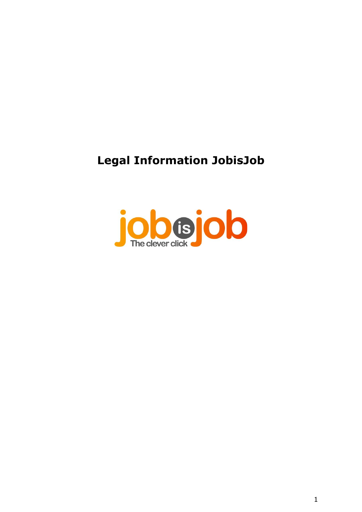# **Legal Information JobisJob**

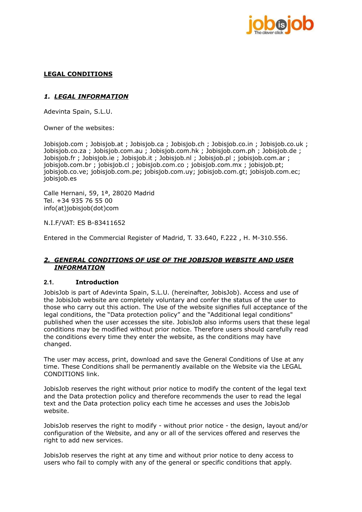

## **LEGAL CONDITIONS**

## *1. LEGAL INFORMATION*

Adevinta Spain, S.L.U.

Owner of the websites:

Jobisjob.com ; Jobisjob.at ; Jobisjob.ca ; Jobisjob.ch ; Jobisjob.co.in ; Jobisjob.co.uk ; Jobisjob.co.za ; Jobisjob.com.au ; Jobisjob.com.hk ; Jobisjob.com.ph ; Jobisjob.de ; Jobisjob.fr; Jobisjob.ie; Jobisjob.it; Jobisjob.nl; Jobisjob.pl; jobisjob.com.ar; jobisjob.com.br ; jobisjob.cl ; jobisjob.com.co ; jobisjob.com.mx ; jobisjob.pt; jobisjob.co.ve; jobisjob.com.pe; jobisjob.com.uy; jobisjob.com.gt; jobisjob.com.ec; jobisjob.es

Calle Hernani, 59, 1ª, 28020 Madrid Tel. +34 935 76 55 00 info(at)jobisjob(dot)com

N.I.F/VAT: ES B-83411652

Entered in the Commercial Register of Madrid, T. 33.640, F.222 , H. M-310.556.

#### *2. GENERAL CONDITIONS OF USE OF THE JOBISJOB WEBSITE AND USER INFORMATION*

#### **2.1. Introduction**

JobisJob is part of Adevinta Spain, S.L.U. (hereinafter, JobisJob). Access and use of the JobisJob website are completely voluntary and confer the status of the user to those who carry out this action. The Use of the website signifies full acceptance of the legal conditions, the "Data protection policy" and the "Additional legal conditions" published when the user accesses the site. JobisJob also informs users that these legal conditions may be modified without prior notice. Therefore users should carefully read the conditions every time they enter the website, as the conditions may have changed.

The user may access, print, download and save the General Conditions of Use at any time. These Conditions shall be permanently available on the Website via the LEGAL CONDITIONS link.

JobisJob reserves the right without prior notice to modify the content of the legal text and the Data protection policy and therefore recommends the user to read the legal text and the Data protection policy each time he accesses and uses the JobisJob website.

JobisJob reserves the right to modify - without prior notice - the design, layout and/or configuration of the Website, and any or all of the services offered and reserves the right to add new services.

JobisJob reserves the right at any time and without prior notice to deny access to users who fail to comply with any of the general or specific conditions that apply.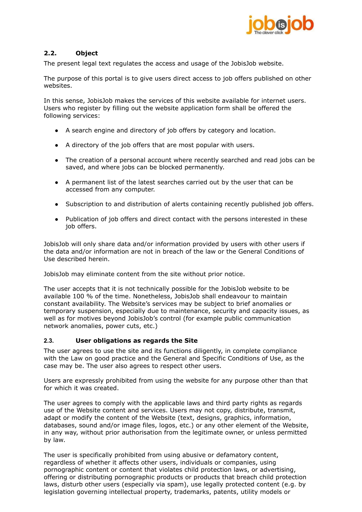

# **2.2. Object**

The present legal text regulates the access and usage of the JobisJob website.

The purpose of this portal is to give users direct access to job offers published on other websites.

In this sense, JobisJob makes the services of this website available for internet users. Users who register by filling out the website application form shall be offered the following services:

- A search engine and directory of job offers by category and location.
- A directory of the job offers that are most popular with users.
- The creation of a personal account where recently searched and read jobs can be saved, and where jobs can be blocked permanently.
- A permanent list of the latest searches carried out by the user that can be accessed from any computer.
- Subscription to and distribution of alerts containing recently published job offers.
- Publication of job offers and direct contact with the persons interested in these job offers.

JobisJob will only share data and/or information provided by users with other users if the data and/or information are not in breach of the law or the General Conditions of Use described herein.

JobisJob may eliminate content from the site without prior notice.

The user accepts that it is not technically possible for the JobisJob website to be available 100 % of the time. Nonetheless, JobisJob shall endeavour to maintain constant availability. The Website's services may be subject to brief anomalies or temporary suspension, especially due to maintenance, security and capacity issues, as well as for motives beyond JobisJob's control (for example public communication network anomalies, power cuts, etc.)

#### **2.3. User obligations as regards the Site**

The user agrees to use the site and its functions diligently, in complete compliance with the Law on good practice and the General and Specific Conditions of Use, as the case may be. The user also agrees to respect other users.

Users are expressly prohibited from using the website for any purpose other than that for which it was created.

The user agrees to comply with the applicable laws and third party rights as regards use of the Website content and services. Users may not copy, distribute, transmit, adapt or modify the content of the Website (text, designs, graphics, information, databases, sound and/or image files, logos, etc.) or any other element of the Website, in any way, without prior authorisation from the legitimate owner, or unless permitted by law.

The user is specifically prohibited from using abusive or defamatory content, regardless of whether it affects other users, individuals or companies, using pornographic content or content that violates child protection laws, or advertising, offering or distributing pornographic products or products that breach child protection laws, disturb other users (especially via spam), use legally protected content (e.g. by legislation governing intellectual property, trademarks, patents, utility models or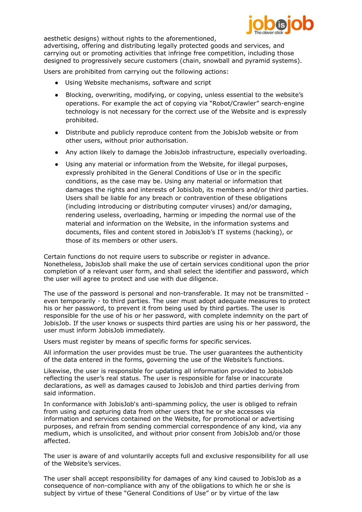

aesthetic designs) without rights to the aforementioned,

advertising, offering and distributing legally protected goods and services, and carrying out or promoting activities that infringe free competition, including those designed to progressively secure customers (chain, snowball and pyramid systems).

Users are prohibited from carrying out the following actions:

- Using Website mechanisms, software and script
- Blocking, overwriting, modifying, or copying, unless essential to the website's operations. For example the act of copying via "Robot/Crawler" search-engine technology is not necessary for the correct use of the Website and is expressly prohibited.
- Distribute and publicly reproduce content from the JobisJob website or from other users, without prior authorisation.
- Any action likely to damage the JobisJob infrastructure, especially overloading.
- Using any material or information from the Website, for illegal purposes, expressly prohibited in the General Conditions of Use or in the specific conditions, as the case may be. Using any material or information that damages the rights and interests of JobisJob, its members and/or third parties. Users shall be liable for any breach or contravention of these obligations (including introducing or distributing computer viruses) and/or damaging, rendering useless, overloading, harming or impeding the normal use of the material and information on the Website, in the information systems and documents, files and content stored in JobisJob's IT systems (hacking), or those of its members or other users.

Certain functions do not require users to subscribe or register in advance. Nonetheless, JobisJob shall make the use of certain services conditional upon the prior completion of a relevant user form, and shall select the identifier and password, which the user will agree to protect and use with due diligence.

The use of the password is personal and non-transferable. It may not be transmitted even temporarily - to third parties. The user must adopt adequate measures to protect his or her password, to prevent it from being used by third parties. The user is responsible for the use of his or her password, with complete indemnity on the part of JobisJob. If the user knows or suspects third parties are using his or her password, the user must inform JobisJob immediately.

Users must register by means of specific forms for specific services.

All information the user provides must be true. The user guarantees the authenticity of the data entered in the forms, governing the use of the Website's functions.

Likewise, the user is responsible for updating all information provided to JobisJob reflecting the user's real status. The user is responsible for false or inaccurate declarations, as well as damages caused to JobisJob and third parties deriving from said information.

In conformance with JobisJob's anti-spamming policy, the user is obliged to refrain from using and capturing data from other users that he or she accesses via information and services contained on the Website, for promotional or advertising purposes, and refrain from sending commercial correspondence of any kind, via any medium, which is unsolicited, and without prior consent from JobisJob and/or those affected.

The user is aware of and voluntarily accepts full and exclusive responsibility for all use of the Website's services.

The user shall accept responsibility for damages of any kind caused to JobisJob as a consequence of non-compliance with any of the obligations to which he or she is subject by virtue of these "General Conditions of Use" or by virtue of the law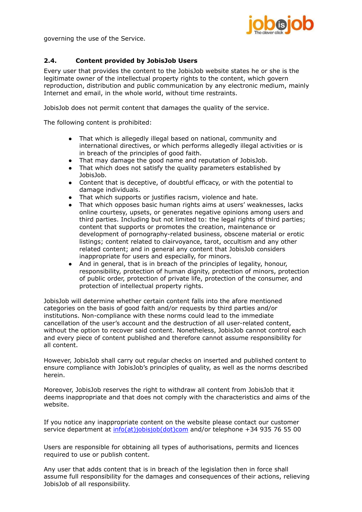

governing the use of the Service.

# **2.4. Content provided by JobisJob Users**

Every user that provides the content to the JobisJob website states he or she is the legitimate owner of the intellectual property rights to the content, which govern reproduction, distribution and public communication by any electronic medium, mainly Internet and email, in the whole world, without time restraints.

JobisJob does not permit content that damages the quality of the service.

The following content is prohibited:

- That which is allegedly illegal based on national, community and international directives, or which performs allegedly illegal activities or is in breach of the principles of good faith.
- That may damage the good name and reputation of JobisJob.
- That which does not satisfy the quality parameters established by JobisJob.
- Content that is deceptive, of doubtful efficacy, or with the potential to damage individuals.
- That which supports or justifies racism, violence and hate.
- That which opposes basic human rights aims at users' weaknesses, lacks online courtesy, upsets, or generates negative opinions among users and third parties. Including but not limited to: the legal rights of third parties; content that supports or promotes the creation, maintenance or development of pornography-related business, obscene material or erotic listings; content related to clairvoyance, tarot, occultism and any other related content; and in general any content that JobisJob considers inappropriate for users and especially, for minors.
- And in general, that is in breach of the principles of legality, honour, responsibility, protection of human dignity, protection of minors, protection of public order, protection of private life, protection of the consumer, and protection of intellectual property rights.

JobisJob will determine whether certain content falls into the afore mentioned categories on the basis of good faith and/or requests by third parties and/or institutions. Non-compliance with these norms could lead to the immediate cancellation of the user's account and the destruction of all user-related content, without the option to recover said content. Nonetheless, JobisJob cannot control each and every piece of content published and therefore cannot assume responsibility for all content.

However, JobisJob shall carry out regular checks on inserted and published content to ensure compliance with JobisJob's principles of quality, as well as the norms described herein.

Moreover, JobisJob reserves the right to withdraw all content from JobisJob that it deems inappropriate and that does not comply with the characteristics and aims of the website.

If you notice any inappropriate content on the website please contact our customer service department at  $inf($ <sub>a</sub>t)*jobisjob*(dot)com and/or telephone +34 935 76 55 00

Users are responsible for obtaining all types of authorisations, permits and licences required to use or publish content.

Any user that adds content that is in breach of the legislation then in force shall assume full responsibility for the damages and consequences of their actions, relieving JobisJob of all responsibility.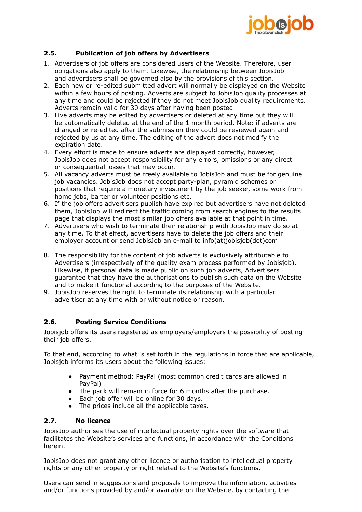

# **2.5. Publication of job offers by Advertisers**

- 1. Advertisers of job offers are considered users of the Website. Therefore, user obligations also apply to them. Likewise, the relationship between JobisJob and advertisers shall be governed also by the provisions of this section.
- 2. Each new or re-edited submitted advert will normally be displayed on the Website within a few hours of posting. Adverts are subject to JobisJob quality processes at any time and could be rejected if they do not meet JobisJob quality requirements. Adverts remain valid for 30 days after having been posted.
- 3. Live adverts may be edited by advertisers or deleted at any time but they will be automatically deleted at the end of the 1 month period. Note: if adverts are changed or re-edited after the submission they could be reviewed again and rejected by us at any time. The editing of the advert does not modify the expiration date.
- 4. Every effort is made to ensure adverts are displayed correctly, however, JobisJob does not accept responsibility for any errors, omissions or any direct or consequential losses that may occur.
- 5. All vacancy adverts must be freely available to JobisJob and must be for genuine job vacancies. JobisJob does not accept party-plan, pyramid schemes or positions that require a monetary investment by the job seeker, some work from home jobs, barter or volunteer positions etc.
- 6. If the job offers advertisers publish have expired but advertisers have not deleted them, JobisJob will redirect the traffic coming from search engines to the results page that displays the most similar job offers available at that point in time.
- 7. Advertisers who wish to terminate their relationship with JobisJob may do so at any time. To that effect, advertisers have to delete the job offers and their employer account or send JobisJob an e-mail to info(at)jobisjob(dot)com
- 8. The responsibility for the content of job adverts is exclusively attributable to Advertisers (irrespectively of the quality exam process performed by Jobisjob). Likewise, if personal data is made public on such job adverts, Advertisers guarantee that they have the authorisations to publish such data on the Website and to make it functional according to the purposes of the Website.
- 9. JobisJob reserves the right to terminate its relationship with a particular advertiser at any time with or without notice or reason.

# **2.6. Posting Service Conditions**

Jobisjob offers its users registered as employers/employers the possibility of posting their job offers.

To that end, according to what is set forth in the regulations in force that are applicable, Jobisjob informs its users about the following issues:

- Payment method: PayPal (most common credit cards are allowed in PayPal)
- The pack will remain in force for 6 months after the purchase.
- Each job offer will be online for 30 days.
- The prices include all the applicable taxes.

# **2.7. No licence**

JobisJob authorises the use of intellectual property rights over the software that facilitates the Website's services and functions, in accordance with the Conditions herein.

JobisJob does not grant any other licence or authorisation to intellectual property rights or any other property or right related to the Website's functions.

Users can send in suggestions and proposals to improve the information, activities and/or functions provided by and/or available on the Website, by contacting the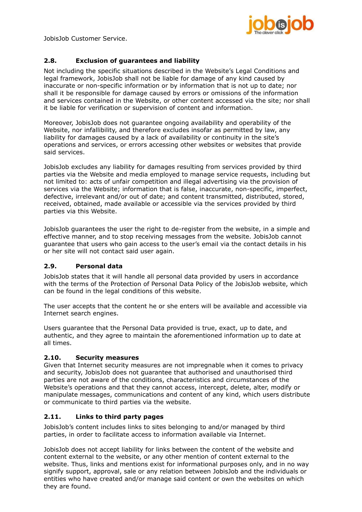

JobisJob Customer Service.

# **2.8. Exclusion of guarantees and liability**

Not including the specific situations described in the Website's Legal Conditions and legal framework, JobisJob shall not be liable for damage of any kind caused by inaccurate or non-specific information or by information that is not up to date; nor shall it be responsible for damage caused by errors or omissions of the information and services contained in the Website, or other content accessed via the site; nor shall it be liable for verification or supervision of content and information.

Moreover, JobisJob does not guarantee ongoing availability and operability of the Website, nor infallibility, and therefore excludes insofar as permitted by law, any liability for damages caused by a lack of availability or continuity in the site's operations and services, or errors accessing other websites or websites that provide said services.

JobisJob excludes any liability for damages resulting from services provided by third parties via the Website and media employed to manage service requests, including but not limited to: acts of unfair competition and illegal advertising via the provision of services via the Website; information that is false, inaccurate, non-specific, imperfect, defective, irrelevant and/or out of date; and content transmitted, distributed, stored, received, obtained, made available or accessible via the services provided by third parties via this Website.

JobisJob guarantees the user the right to de-register from the website, in a simple and effective manner, and to stop receiving messages from the website. JobisJob cannot guarantee that users who gain access to the user's email via the contact details in his or her site will not contact said user again.

# **2.9. Personal data**

JobisJob states that it will handle all personal data provided by users in accordance with the terms of the Protection of Personal Data Policy of the JobisJob website, which can be found in the legal conditions of this website.

The user accepts that the content he or she enters will be available and accessible via Internet search engines.

Users guarantee that the Personal Data provided is true, exact, up to date, and authentic, and they agree to maintain the aforementioned information up to date at all times.

# **2.10. Security measures**

Given that Internet security measures are not impregnable when it comes to privacy and security, JobisJob does not guarantee that authorised and unauthorised third parties are not aware of the conditions, characteristics and circumstances of the Website's operations and that they cannot access, intercept, delete, alter, modify or manipulate messages, communications and content of any kind, which users distribute or communicate to third parties via the website.

# **2.11. Links to third party pages**

JobisJob's content includes links to sites belonging to and/or managed by third parties, in order to facilitate access to information available via Internet.

JobisJob does not accept liability for links between the content of the website and content external to the website, or any other mention of content external to the website. Thus, links and mentions exist for informational purposes only, and in no way signify support, approval, sale or any relation between JobisJob and the individuals or entities who have created and/or manage said content or own the websites on which they are found.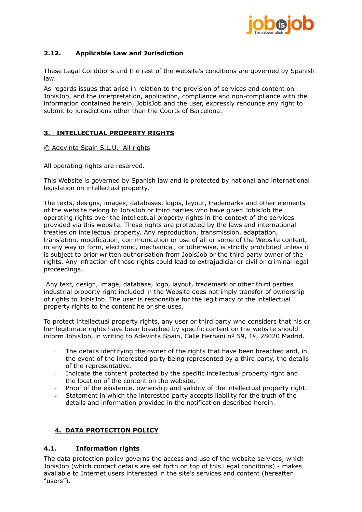

# **2.12. Applicable Law and Jurisdiction**

These Legal Conditions and the rest of the website's conditions are governed by Spanish law.

As regards issues that arise in relation to the provision of services and content on JobisJob, and the interpretation, application, compliance and non-compliance with the information contained herein, JobisJob and the user, expressly renounce any right to submit to jurisdictions other than the Courts of Barcelona.

# **3. INTELLECTUAL PROPERTY RIGHTS**

© Adevinta Spain S.L.U.- All rights

All operating rights are reserved.

This Website is governed by Spanish law and is protected by national and international legislation on intellectual property.

The texts, designs, images, databases, logos, layout, trademarks and other elements of the website belong to JobisJob or third parties who have given JobisJob the operating rights over the intellectual property rights in the context of the services provided via this website. These rights are protected by the laws and international treaties on intellectual property. Any reproduction, transmission, adaptation, translation, modification, communication or use of all or some of the Website content, in any way or form, electronic, mechanical, or otherwise, is strictly prohibited unless it is subject to prior written authorisation from JobisJob or the third party owner of the rights. Any infraction of these rights could lead to extrajudicial or civil or criminal legal proceedings.

Any text, design, image, database, logo, layout, trademark or other third parties industrial property right included in the Website does not imply transfer of ownership of rights to JobisJob. The user is responsible for the legitimacy of the intellectual property rights to the content he or she uses.

To protect intellectual property rights, any user or third party who considers that his or her legitimate rights have been breached by specific content on the website should inform JobisJob, in writing to Adevinta Spain, Calle Hernani nº 59, 1<sup>a</sup>, 28020 Madrid.

- The details identifying the owner of the rights that have been breached and, in the event of the interested party being represented by a third party, the details of the representative.
- Indicate the content protected by the specific intellectual property right and the location of the content on the website.
- Proof of the existence, ownership and validity of the intellectual property right.
- Statement in which the interested party accepts liability for the truth of the details and information provided in the notification described herein.

# **4. DATA PROTECTION POLICY**

# **4.1. Information rights**

The data protection policy governs the access and use of the website services, which JobisJob (which contact details are set forth on top of this Legal conditions) - makes available to Internet users interested in the site's services and content (hereafter "users").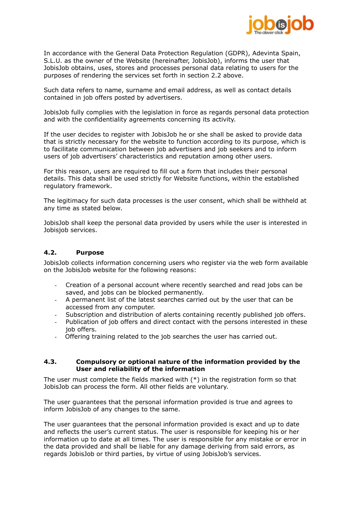

In accordance with the General Data Protection Regulation (GDPR), Adevinta Spain, S.L.U. as the owner of the Website (hereinafter, JobisJob), informs the user that JobisJob obtains, uses, stores and processes personal data relating to users for the purposes of rendering the services set forth in section 2.2 above.

Such data refers to name, surname and email address, as well as contact details contained in job offers posted by advertisers.

JobisJob fully complies with the legislation in force as regards personal data protection and with the confidentiality agreements concerning its activity.

If the user decides to register with JobisJob he or she shall be asked to provide data that is strictly necessary for the website to function according to its purpose, which is to facilitate communication between job advertisers and job seekers and to inform users of job advertisers' characteristics and reputation among other users.

For this reason, users are required to fill out a form that includes their personal details. This data shall be used strictly for Website functions, within the established regulatory framework.

The legitimacy for such data processes is the user consent, which shall be withheld at any time as stated below.

JobisJob shall keep the personal data provided by users while the user is interested in Jobisjob services.

#### **4.2. Purpose**

JobisJob collects information concerning users who register via the web form available on the JobisJob website for the following reasons:

- Creation of a personal account where recently searched and read jobs can be saved, and jobs can be blocked permanently.
- A permanent list of the latest searches carried out by the user that can be accessed from any computer.
- Subscription and distribution of alerts containing recently published job offers.
- Publication of job offers and direct contact with the persons interested in these job offers.
- Offering training related to the job searches the user has carried out.

#### **4.3. Compulsory or optional nature of the information provided by the User and reliability of the information**

The user must complete the fields marked with  $(*)$  in the registration form so that JobisJob can process the form. All other fields are voluntary.

The user guarantees that the personal information provided is true and agrees to inform JobisJob of any changes to the same.

The user guarantees that the personal information provided is exact and up to date and reflects the user's current status. The user is responsible for keeping his or her information up to date at all times. The user is responsible for any mistake or error in the data provided and shall be liable for any damage deriving from said errors, as regards JobisJob or third parties, by virtue of using JobisJob's services.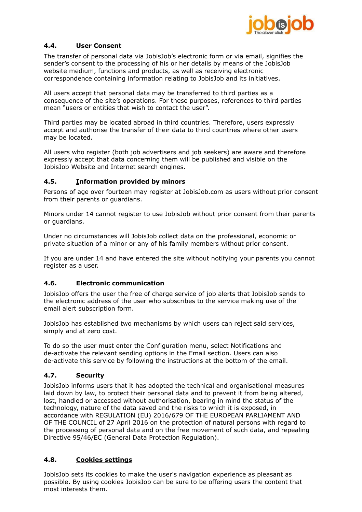

# **4.4. User Consent**

The transfer of personal data via JobisJob's electronic form or via email, signifies the sender's consent to the processing of his or her details by means of the JobisJob website medium, functions and products, as well as receiving electronic correspondence containing information relating to JobisJob and its initiatives.

All users accept that personal data may be transferred to third parties as a consequence of the site's operations. For these purposes, references to third parties mean "users or entities that wish to contact the user".

Third parties may be located abroad in third countries. Therefore, users expressly accept and authorise the transfer of their data to third countries where other users may be located.

All users who register (both job advertisers and job seekers) are aware and therefore expressly accept that data concerning them will be published and visible on the JobisJob Website and Internet search engines.

# **4.5. Information provided by minors**

Persons of age over fourteen may register at JobisJob.com as users without prior consent from their parents or guardians.

Minors under 14 cannot register to use JobisJob without prior consent from their parents or guardians.

Under no circumstances will JobisJob collect data on the professional, economic or private situation of a minor or any of his family members without prior consent.

If you are under 14 and have entered the site without notifying your parents you cannot register as a user.

# **4.6. Electronic communication**

JobisJob offers the user the free of charge service of job alerts that JobisJob sends to the electronic address of the user who subscribes to the service making use of the email alert subscription form.

JobisJob has established two mechanisms by which users can reject said services, simply and at zero cost.

To do so the user must enter the Configuration menu, select Notifications and de-activate the relevant sending options in the Email section. Users can also de-activate this service by following the instructions at the bottom of the email.

#### **4.7. Security**

JobisJob informs users that it has adopted the technical and organisational measures laid down by law, to protect their personal data and to prevent it from being altered, lost, handled or accessed without authorisation, bearing in mind the status of the technology, nature of the data saved and the risks to which it is exposed, in accordance with REGULATION (EU) 2016/679 OF THE EUROPEAN PARLIAMENT AND OF THE COUNCIL of 27 April 2016 on the protection of natural persons with regard to the processing of personal data and on the free movement of such data, and repealing Directive 95/46/EC (General Data Protection Regulation).

# **4.8. Cookies settings**

JobisJob sets its cookies to make the user's navigation experience as pleasant as possible. By using cookies JobisJob can be sure to be offering users the content that most interests them.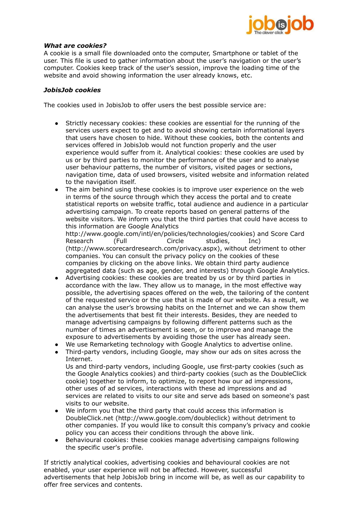

#### *What are cookies?*

A cookie is a small file downloaded onto the computer, Smartphone or tablet of the user. This file is used to gather information about the user's navigation or the user's computer. Cookies keep track of the user's session, improve the loading time of the website and avoid showing information the user already knows, etc.

## *JobisJob cookies*

The cookies used in JobisJob to offer users the best possible service are:

- Strictly necessary cookies: these cookies are essential for the running of the services users expect to get and to avoid showing certain informational layers that users have chosen to hide. Without these cookies, both the contents and services offered in JobisJob would not function properly and the user experience would suffer from it. Analytical cookies: these cookies are used by us or by third parties to monitor the performance of the user and to analyse user behaviour patterns, the number of visitors, visited pages or sections, navigation time, data of used browsers, visited website and information related to the navigation itself.
- The aim behind using these cookies is to improve user experience on the web in terms of the source through which they access the portal and to create statistical reports on website traffic, total audience and audience in a particular advertising campaign. To create reports based on general patterns of the website visitors. We inform you that the third parties that could have access to this information are Google Analytics [http://www.google.com/intl/en/policies/technologies/cookies\)](http://www.google.com/intl/en/policies/technologies/cookies)) and Score Card Research (Full Circle studies, Inc) [\(http://www.scorecardresearch.com/privacy.aspx\),](http://www.scorecardresearch.com/privacy.aspx)) without detriment to other companies. You can consult the privacy policy on the cookies of these companies by clicking on the above links. We obtain third party audience
- aggregated data (such as age, gender, and interests) through Google Analytics. Advertising cookies: these cookies are treated by us or by third parties in accordance with the law. They allow us to manage, in the most effective way possible, the advertising spaces offered on the web, the tailoring of the content of the requested service or the use that is made of our website. As a result, we can analyse the user's browsing habits on the Internet and we can show them the advertisements that best fit their interests. Besides, they are needed to manage advertising campaigns by following different patterns such as the number of times an advertisement is seen, or to improve and manage the exposure to advertisements by avoiding those the user has already seen.
- We use Remarketing technology with Google Analytics to advertise online.<br>● Third-party vendors, including Google, may show our ads on sites across t
- Third-party vendors, including Google, may show our ads on sites across the Internet.

Us and third-party vendors, including Google, use first-party cookies (such as the Google Analytics cookies) and third-party cookies (such as the DoubleClick cookie) together to inform, to optimize, to report how our ad impressions, other uses of ad services, interactions with these ad impressions and ad services are related to visits to our site and serve ads based on someone's past visits to our website.

- We inform you that the third party that could access this information is DoubleClick.net [\(http://www.google.com/doubleclick\)](http://www.google.com/doubleclick)) without detriment to other companies. If you would like to consult this company's privacy and cookie policy you can access their conditions through the above link.
- Behavioural cookies: these cookies manage advertising campaigns following the specific user's profile.

If strictly analytical cookies, advertising cookies and behavioural cookies are not enabled, your user experience will not be affected. However, successful advertisements that help JobisJob bring in income will be, as well as our capability to offer free services and contents.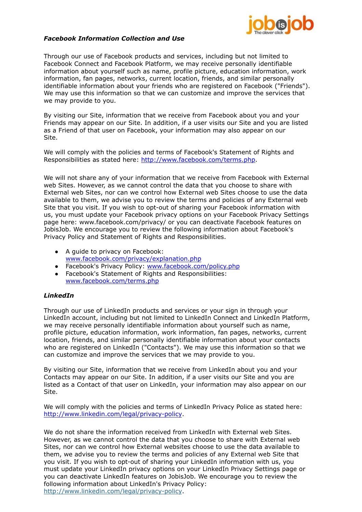

#### *Facebook Information Collection and Use*

Through our use of Facebook products and services, including but not limited to Facebook Connect and Facebook Platform, we may receive personally identifiable information about yourself such as name, profile picture, education information, work information, fan pages, networks, current location, friends, and similar personally identifiable information about your friends who are registered on Facebook ("Friends"). We may use this information so that we can customize and improve the services that we may provide to you.

By visiting our Site, information that we receive from Facebook about you and your Friends may appear on our Site. In addition, if a user visits our Site and you are listed as a Friend of that user on Facebook, your information may also appear on our Site.

We will comply with the policies and terms of Facebook's Statement of Rights and Responsibilities as stated here: [http://www.facebook.com/terms.php.](http://www.facebook.com/terms.php)

We will not share any of your information that we receive from Facebook with External web Sites. However, as we cannot control the data that you choose to share with External web Sites, nor can we control how External web Sites choose to use the data available to them, we advise you to review the terms and policies of any External web Site that you visit. If you wish to opt-out of sharing your Facebook information with us, you must update your Facebook privacy options on your Facebook Privacy Settings page here: [www.facebook.com/privacy/](http://www.facebook.com/privacy/) or you can deactivate Facebook features on JobisJob. We encourage you to review the following information about Facebook's Privacy Policy and Statement of Rights and Responsibilities.

- A guide to privacy on Facebook: [www.facebook.com/privacy/explanation.php](http://www.facebook.com/privacy/explanation.php)
- Facebook's Privacy Policy: [www.facebook.com/policy.php](http://www.facebook.com/policy.php)
- Facebook's Statement of Rights and Responsibilities: [www.facebook.com/terms.php](http://www.facebook.com/terms.php)

# *LinkedIn*

Through our use of LinkedIn products and services or your sign in through your LinkedIn account, including but not limited to LinkedIn Connect and LinkedIn Platform, we may receive personally identifiable information about yourself such as name, profile picture, education information, work information, fan pages, networks, current location, friends, and similar personally identifiable information about your contacts who are registered on LinkedIn ("Contacts"). We may use this information so that we can customize and improve the services that we may provide to you.

By visiting our Site, information that we receive from LinkedIn about you and your Contacts may appear on our Site. In addition, if a user visits our Site and you are listed as a Contact of that user on LinkedIn, your information may also appear on our Site.

We will comply with the policies and terms of LinkedIn Privacy Police as stated here: <http://www.linkedin.com/legal/privacy-policy>.

We do not share the information received from LinkedIn with External web Sites. However, as we cannot control the data that you choose to share with External web Sites, nor can we control how External websites choose to use the data available to them, we advise you to review the terms and policies of any External web Site that you visit. If you wish to opt-out of sharing your LinkedIn information with us, you must update your LinkedIn privacy options on your LinkedIn Privacy Settings page or you can deactivate LinkedIn features on JobisJob. We encourage you to review the following information about LinkedIn's Privacy Policy: <http://www.linkedin.com/legal/privacy-policy>.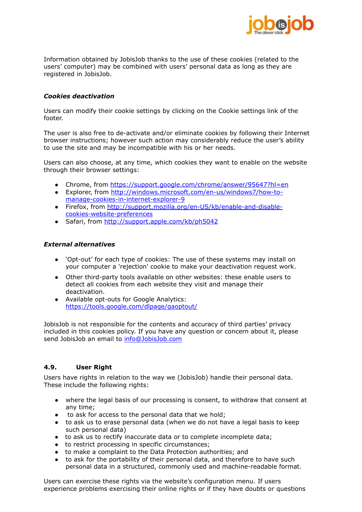

Information obtained by JobisJob thanks to the use of these cookies (related to the users' computer) may be combined with users' personal data as long as they are registered in JobisJob.

#### *Cookies deactivation*

Users can modify their cookie settings by clicking on the Cookie settings link of the footer.

The user is also free to de-activate and/or eliminate cookies by following their Internet browser instructions; however such action may considerably reduce the user's ability to use the site and may be incompatible with his or her needs.

Users can also choose, at any time, which cookies they want to enable on the website through their browser settings:

- Chrome, from <https://support.google.com/chrome/answer/95647?hl=en>
- Explorer, from [http://windows.microsoft.com/en-us/windows7/how-to](http://windows.microsoft.com/en-us/windows7/how-to-manage-cookies-in-internet-explorer-9)[manage-cookies-in-internet-explorer-9](http://windows.microsoft.com/en-us/windows7/how-to-manage-cookies-in-internet-explorer-9)
- Firefox, from [http://support.mozilla.org/en-US/kb/enable-and-disable](http://support.mozilla.org/en-US/kb/enable-and-disable-cookies-website-preferences)[cookies-website-preferences](http://support.mozilla.org/en-US/kb/enable-and-disable-cookies-website-preferences)
- Safari, from <http://support.apple.com/kb/ph5042>

#### *External alternatives*

- 'Opt-out' for each type of cookies: The use of these systems may install on your computer a 'rejection' cookie to make your deactivation request work.
- Other third-party tools available on other websites: these enable users to detect all cookies from each website they visit and manage their deactivation.
- Available opt-outs for Google Analytics: <https://tools.google.com/dlpage/gaoptout/>

JobisJob is not responsible for the contents and accuracy of third parties' privacy included in this cookies policy. If you have any question or concern about it, please send JobisJob an email to [info@JobisJob.com](mailto:info@JobisJob.com)

# **4.9. User Right**

Users have rights in relation to the way we (JobisJob) handle their personal data. These include the following rights:

- where the legal basis of our processing is consent, to withdraw that consent at any time;
- to ask for access to the personal data that we hold;
- to ask us to erase personal data (when we do not have a legal basis to keep such personal data)
- to ask us to rectify inaccurate data or to complete incomplete data;
- to restrict processing in specific circumstances;
- to make a complaint to the Data Protection authorities; and
- to ask for the portability of their personal data, and therefore to have such personal data in a structured, commonly used and machine-readable format.

Users can exercise these rights via the website's configuration menu. If users experience problems exercising their online rights or if they have doubts or questions